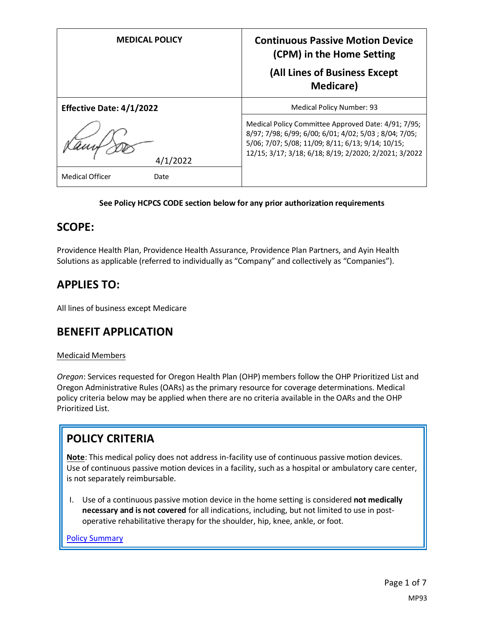| <b>MEDICAL POLICY</b>           | <b>Continuous Passive Motion Device</b><br>(CPM) in the Home Setting<br>(All Lines of Business Except<br><b>Medicare</b> )                                                                                                 |
|---------------------------------|----------------------------------------------------------------------------------------------------------------------------------------------------------------------------------------------------------------------------|
| <b>Effective Date: 4/1/2022</b> | Medical Policy Number: 93                                                                                                                                                                                                  |
| 4/1/2022                        | Medical Policy Committee Approved Date: 4/91; 7/95;<br>8/97; 7/98; 6/99; 6/00; 6/01; 4/02; 5/03; 8/04; 7/05;<br>5/06; 7/07; 5/08; 11/09; 8/11; 6/13; 9/14; 10/15;<br>12/15; 3/17; 3/18; 6/18; 8/19; 2/2020; 2/2021; 3/2022 |
| <b>Medical Officer</b><br>Date  |                                                                                                                                                                                                                            |

#### **See Policy HCPCS CODE section below for any prior authorization requirements**

### **SCOPE:**

Providence Health Plan, Providence Health Assurance, Providence Plan Partners, and Ayin Health Solutions as applicable (referred to individually as "Company" and collectively as "Companies").

## **APPLIES TO:**

All lines of business except Medicare

### **BENEFIT APPLICATION**

#### Medicaid Members

*Oregon*: Services requested for Oregon Health Plan (OHP) members follow the OHP Prioritized List and Oregon Administrative Rules (OARs) as the primary resource for coverage determinations. Medical policy criteria below may be applied when there are no criteria available in the OARs and the OHP Prioritized List.

# **POLICY CRITERIA**

**Note**: This medical policy does not address in-facility use of continuous passive motion devices. Use of continuous passive motion devices in a facility, such as a hospital or ambulatory care center, is not separately reimbursable.

I. Use of a continuous passive motion device in the home setting is considered **not medically necessary and is not covered** for all indications, including, but not limited to use in postoperative rehabilitative therapy for the shoulder, hip, knee, ankle, or foot.

[Policy Summary](#page-4-0)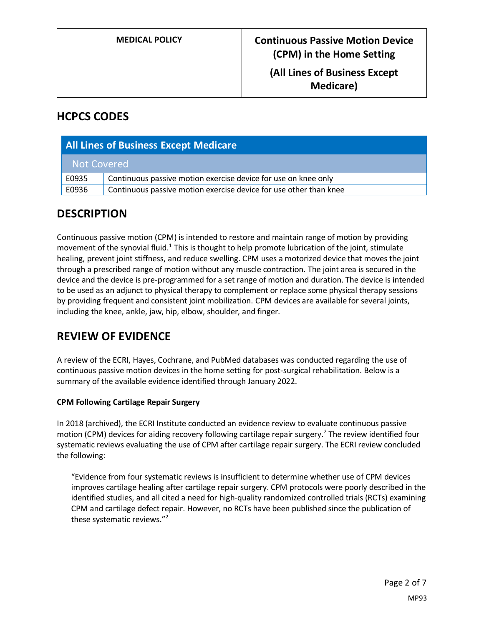**(All Lines of Business Except Medicare)**

## **HCPCS CODES**

| <b>All Lines of Business Except Medicare</b> |                                                                   |
|----------------------------------------------|-------------------------------------------------------------------|
| Not Covered                                  |                                                                   |
| E0935                                        | Continuous passive motion exercise device for use on knee only    |
| E0936                                        | Continuous passive motion exercise device for use other than knee |

## **DESCRIPTION**

Continuous passive motion (CPM) is intended to restore and maintain range of motion by providing movement of the synovial fluid.<sup>1</sup> This is thought to help promote lubrication of the joint, stimulate healing, prevent joint stiffness, and reduce swelling. CPM uses a motorized device that moves the joint through a prescribed range of motion without any muscle contraction. The joint area is secured in the device and the device is pre-programmed for a set range of motion and duration. The device is intended to be used as an adjunct to physical therapy to complement or replace some physical therapy sessions by providing frequent and consistent joint mobilization. CPM devices are available for several joints, including the knee, ankle, jaw, hip, elbow, shoulder, and finger.

# **REVIEW OF EVIDENCE**

A review of the ECRI, Hayes, Cochrane, and PubMed databases was conducted regarding the use of continuous passive motion devices in the home setting for post-surgical rehabilitation. Below is a summary of the available evidence identified through January 2022.

### **CPM Following Cartilage Repair Surgery**

In 2018 (archived), the ECRI Institute conducted an evidence review to evaluate continuous passive motion (CPM) devices for aiding recovery following cartilage repair surgery.<sup>2</sup> The review identified four systematic reviews evaluating the use of CPM after cartilage repair surgery. The ECRI review concluded the following:

"Evidence from four systematic reviews is insufficient to determine whether use of CPM devices improves cartilage healing after cartilage repair surgery. CPM protocols were poorly described in the identified studies, and all cited a need for high-quality randomized controlled trials (RCTs) examining CPM and cartilage defect repair. However, no RCTs have been published since the publication of these systematic reviews."<sup>2</sup>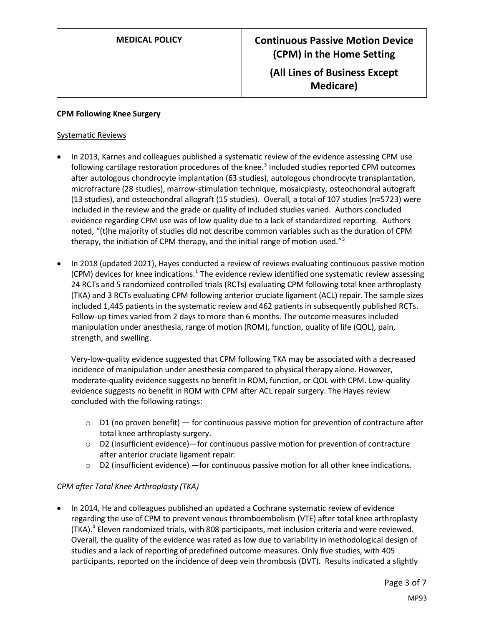#### **CPM Following Knee Surgery**

#### Systematic Reviews

- In 2013, Karnes and colleagues published a systematic review of the evidence assessing CPM use following cartilage restoration procedures of the knee.<sup>3</sup> Included studies reported CPM outcomes after autologous chondrocyte implantation (63 studies), autologous chondrocyte transplantation, microfracture (28 studies), marrow-stimulation technique, mosaicplasty, osteochondral autograft (13 studies), and osteochondral allograft (15 studies). Overall, a total of 107 studies (n=5723) were included in the review and the grade or quality of included studies varied. Authors concluded evidence regarding CPM use was of low quality due to a lack of standardized reporting. Authors noted, "(t)he majority of studies did not describe common variables such as the duration of CPM therapy, the initiation of CPM therapy, and the initial range of motion used."<sup>3</sup>
- In 2018 (updated 2021), Hayes conducted a review of reviews evaluating continuous passive motion (CPM) devices for knee indications.<sup>1</sup> The evidence review identified one systematic review assessing 24 RCTs and 5 randomized controlled trials (RCTs) evaluating CPM following total knee arthroplasty (TKA) and 3 RCTs evaluating CPM following anterior cruciate ligament (ACL) repair. The sample sizes included 1,445 patients in the systematic review and 462 patients in subsequently published RCTs. Follow-up times varied from 2 days to more than 6 months. The outcome measures included manipulation under anesthesia, range of motion (ROM), function, quality of life (QOL), pain, strength, and swelling.

Very-low-quality evidence suggested that CPM following TKA may be associated with a decreased incidence of manipulation under anesthesia compared to physical therapy alone. However, moderate-quality evidence suggests no benefit in ROM, function, or QOL with CPM. Low-quality evidence suggests no benefit in ROM with CPM after ACL repair surgery. The Hayes review concluded with the following ratings:

- $\circ$  D1 (no proven benefit) for continuous passive motion for prevention of contracture after total knee arthroplasty surgery.
- $\circ$  D2 (insufficient evidence)—for continuous passive motion for prevention of contracture after anterior cruciate ligament repair.
- o D2 (insufficient evidence) —for continuous passive motion for all other knee indications.

### *CPM after Total Knee Arthroplasty (TKA)*

• In 2014, He and colleagues published an updated a Cochrane systematic review of evidence regarding the use of CPM to prevent venous thromboembolism (VTE) after total knee arthroplasty (TKA). 4 Eleven randomized trials, with 808 participants, met inclusion criteria and were reviewed. Overall, the quality of the evidence was rated as low due to variability in methodological design of studies and a lack of reporting of predefined outcome measures. Only five studies, with 405 participants, reported on the incidence of deep vein thrombosis (DVT). Results indicated a slightly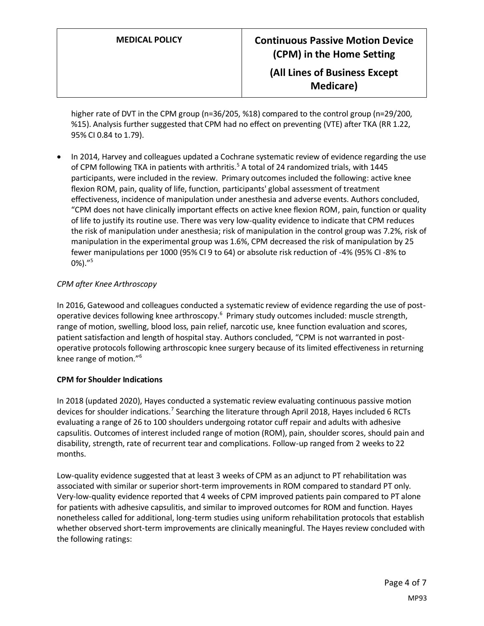higher rate of DVT in the CPM group (n=36/205, %18) compared to the control group (n=29/200, %15). Analysis further suggested that CPM had no effect on preventing (VTE) after TKA (RR 1.22, 95% CI 0.84 to 1.79).

• In 2014, Harvey and colleagues updated a Cochrane systematic review of evidence regarding the use of CPM following TKA in patients with arthritis.<sup>5</sup> A total of 24 randomized trials, with 1445 participants, were included in the review. Primary outcomes included the following: active knee flexion ROM, pain, quality of life, function, participants' global assessment of treatment effectiveness, incidence of manipulation under anesthesia and adverse events. Authors concluded, "CPM does not have clinically important effects on active knee flexion ROM, pain, function or quality of life to justify its routine use. There was very low-quality evidence to indicate that CPM reduces the risk of manipulation under anesthesia; risk of manipulation in the control group was 7.2%, risk of manipulation in the experimental group was 1.6%, CPM decreased the risk of manipulation by 25 fewer manipulations per 1000 (95% CI 9 to 64) or absolute risk reduction of -4% (95% CI -8% to 0%). $^{\prime\prime}$ <sup>5</sup>

### *CPM after Knee Arthroscopy*

In 2016, Gatewood and colleagues conducted a systematic review of evidence regarding the use of postoperative devices following knee arthroscopy.<sup>6</sup> Primary study outcomes included: muscle strength, range of motion, swelling, blood loss, pain relief, narcotic use, knee function evaluation and scores, patient satisfaction and length of hospital stay. Authors concluded, "CPM is not warranted in postoperative protocols following arthroscopic knee surgery because of its limited effectiveness in returning knee range of motion."<sup>6</sup>

#### **CPM for Shoulder Indications**

In 2018 (updated 2020), Hayes conducted a systematic review evaluating continuous passive motion devices for shoulder indications.<sup>7</sup> Searching the literature through April 2018, Hayes included 6 RCTs evaluating a range of 26 to 100 shoulders undergoing rotator cuff repair and adults with adhesive capsulitis. Outcomes of interest included range of motion (ROM), pain, shoulder scores, should pain and disability, strength, rate of recurrent tear and complications. Follow-up ranged from 2 weeks to 22 months.

Low-quality evidence suggested that at least 3 weeks of CPM as an adjunct to PT rehabilitation was associated with similar or superior short-term improvements in ROM compared to standard PT only. Very-low-quality evidence reported that 4 weeks of CPM improved patients pain compared to PT alone for patients with adhesive capsulitis, and similar to improved outcomes for ROM and function. Hayes nonetheless called for additional, long-term studies using uniform rehabilitation protocols that establish whether observed short-term improvements are clinically meaningful. The Hayes review concluded with the following ratings: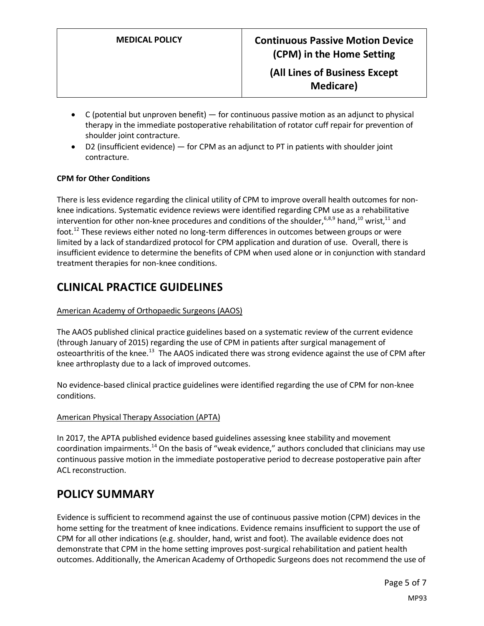- $\bullet$  C (potential but unproven benefit) for continuous passive motion as an adjunct to physical therapy in the immediate postoperative rehabilitation of rotator cuff repair for prevention of shoulder joint contracture.
- D2 (insufficient evidence) for CPM as an adjunct to PT in patients with shoulder joint contracture.

#### **CPM for Other Conditions**

There is less evidence regarding the clinical utility of CPM to improve overall health outcomes for nonknee indications. Systematic evidence reviews were identified regarding CPM use as a rehabilitative intervention for other non-knee procedures and conditions of the shoulder,  $6,8,9$  hand,  $^{10}$  wrist,  $^{11}$  and foot. $^{12}$  These reviews either noted no long-term differences in outcomes between groups or were limited by a lack of standardized protocol for CPM application and duration of use. Overall, there is insufficient evidence to determine the benefits of CPM when used alone or in conjunction with standard treatment therapies for non-knee conditions.

## **CLINICAL PRACTICE GUIDELINES**

#### American Academy of Orthopaedic Surgeons (AAOS)

The AAOS published clinical practice guidelines based on a systematic review of the current evidence (through January of 2015) regarding the use of CPM in patients after surgical management of osteoarthritis of the knee.<sup>13</sup> The AAOS indicated there was strong evidence against the use of CPM after knee arthroplasty due to a lack of improved outcomes.

No evidence-based clinical practice guidelines were identified regarding the use of CPM for non-knee conditions.

#### American Physical Therapy Association (APTA)

In 2017, the APTA published evidence based guidelines assessing knee stability and movement coordination impairments.<sup>14</sup> On the basis of "weak evidence," authors concluded that clinicians may use continuous passive motion in the immediate postoperative period to decrease postoperative pain after ACL reconstruction.

## <span id="page-4-0"></span>**POLICY SUMMARY**

Evidence is sufficient to recommend against the use of continuous passive motion (CPM) devices in the home setting for the treatment of knee indications. Evidence remains insufficient to support the use of CPM for all other indications (e.g. shoulder, hand, wrist and foot). The available evidence does not demonstrate that CPM in the home setting improves post-surgical rehabilitation and patient health outcomes. Additionally, the American Academy of Orthopedic Surgeons does not recommend the use of

MP93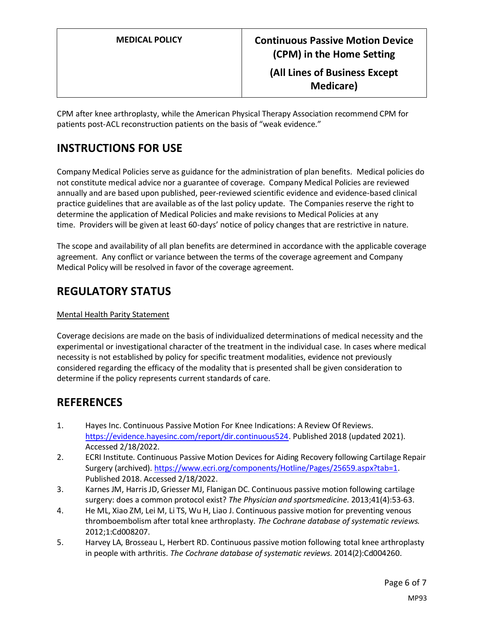CPM after knee arthroplasty, while the American Physical Therapy Association recommend CPM for patients post-ACL reconstruction patients on the basis of "weak evidence."

# **INSTRUCTIONS FOR USE**

Company Medical Policies serve as guidance for the administration of plan benefits. Medical policies do not constitute medical advice nor a guarantee of coverage. Company Medical Policies are reviewed annually and are based upon published, peer-reviewed scientific evidence and evidence-based clinical practice guidelines that are available as of the last policy update. The Companies reserve the right to determine the application of Medical Policies and make revisions to Medical Policies at any time. Providers will be given at least 60-days' notice of policy changes that are restrictive in nature.

The scope and availability of all plan benefits are determined in accordance with the applicable coverage agreement. Any conflict or variance between the terms of the coverage agreement and Company Medical Policy will be resolved in favor of the coverage agreement.

## **REGULATORY STATUS**

#### Mental Health Parity Statement

Coverage decisions are made on the basis of individualized determinations of medical necessity and the experimental or investigational character of the treatment in the individual case. In cases where medical necessity is not established by policy for specific treatment modalities, evidence not previously considered regarding the efficacy of the modality that is presented shall be given consideration to determine if the policy represents current standards of care.

## **REFERENCES**

- 1. Hayes Inc. Continuous Passive Motion For Knee Indications: A Review Of Reviews. [https://evidence.hayesinc.com/report/dir.continuous524.](https://evidence.hayesinc.com/report/dir.continuous524) Published 2018 (updated 2021). Accessed 2/18/2022.
- 2. ECRI Institute. Continuous Passive Motion Devices for Aiding Recovery following Cartilage Repair Surgery (archived). [https://www.ecri.org/components/Hotline/Pages/25659.aspx?tab=1.](https://www.ecri.org/components/Hotline/Pages/25659.aspx?tab=1) Published 2018. Accessed 2/18/2022.
- 3. Karnes JM, Harris JD, Griesser MJ, Flanigan DC. Continuous passive motion following cartilage surgery: does a common protocol exist? *The Physician and sportsmedicine.* 2013;41(4):53-63.
- 4. He ML, Xiao ZM, Lei M, Li TS, Wu H, Liao J. Continuous passive motion for preventing venous thromboembolism after total knee arthroplasty. *The Cochrane database of systematic reviews.*  2012;1:Cd008207.
- 5. Harvey LA, Brosseau L, Herbert RD. Continuous passive motion following total knee arthroplasty in people with arthritis. *The Cochrane database of systematic reviews.* 2014(2):Cd004260.